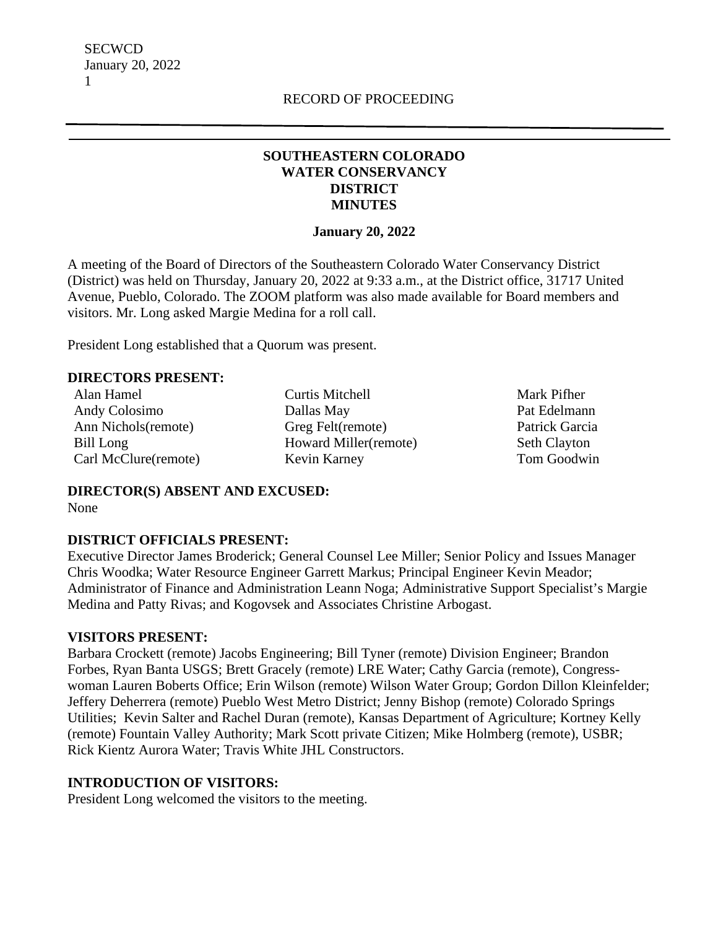## **SOUTHEASTERN COLORADO WATER CONSERVANCY DISTRICT MINUTES**

### **January 20, 2022**

A meeting of the Board of Directors of the Southeastern Colorado Water Conservancy District (District) was held on Thursday, January 20, 2022 at 9:33 a.m., at the District office, 31717 United Avenue, Pueblo, Colorado. The ZOOM platform was also made available for Board members and visitors. Mr. Long asked Margie Medina for a roll call.

President Long established that a Quorum was present.

### **DIRECTORS PRESENT:**

Alan Hamel Andy Colosimo Ann Nichols(remote) Bill Long Carl McClure(remote) Curtis Mitchell Dallas May Greg Felt(remote) Howard Miller(remote) Kevin Karney

 Mark Pifher Pat Edelmann Patrick Garcia Seth Clayton Tom Goodwin

**DIRECTOR(S) ABSENT AND EXCUSED:** None

### **DISTRICT OFFICIALS PRESENT:**

Executive Director James Broderick; General Counsel Lee Miller; Senior Policy and Issues Manager Chris Woodka; Water Resource Engineer Garrett Markus; Principal Engineer Kevin Meador; Administrator of Finance and Administration Leann Noga; Administrative Support Specialist's Margie Medina and Patty Rivas; and Kogovsek and Associates Christine Arbogast.

### **VISITORS PRESENT:**

Barbara Crockett (remote) Jacobs Engineering; Bill Tyner (remote) Division Engineer; Brandon Forbes, Ryan Banta USGS; Brett Gracely (remote) LRE Water; Cathy Garcia (remote), Congresswoman Lauren Boberts Office; Erin Wilson (remote) Wilson Water Group; Gordon Dillon Kleinfelder; Jeffery Deherrera (remote) Pueblo West Metro District; Jenny Bishop (remote) Colorado Springs Utilities; Kevin Salter and Rachel Duran (remote), Kansas Department of Agriculture; Kortney Kelly (remote) Fountain Valley Authority; Mark Scott private Citizen; Mike Holmberg (remote), USBR; Rick Kientz Aurora Water; Travis White JHL Constructors.

#### **INTRODUCTION OF VISITORS:**

President Long welcomed the visitors to the meeting.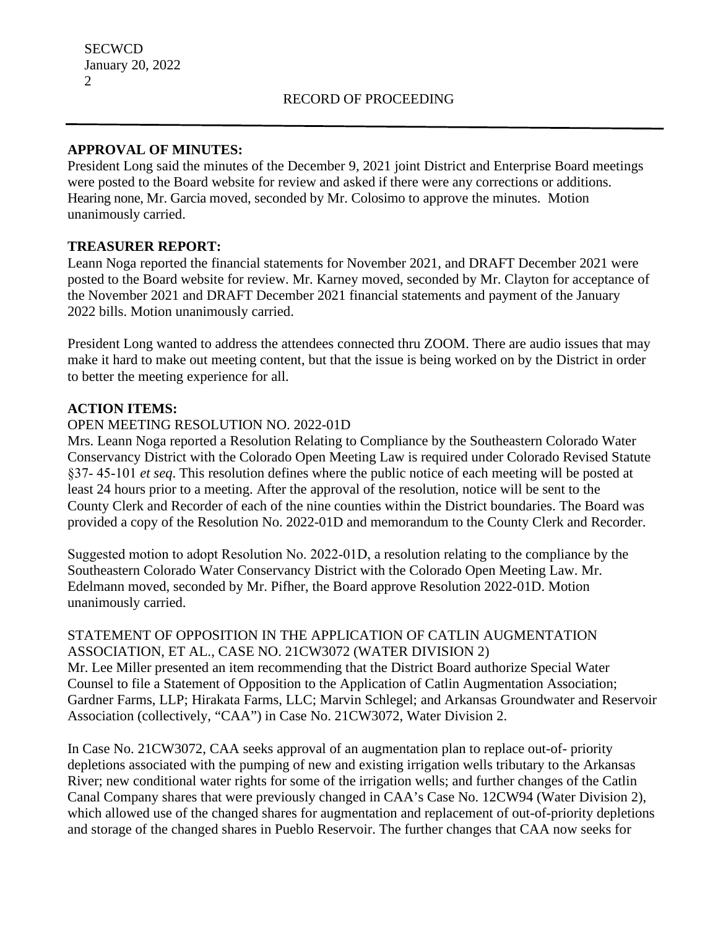## **APPROVAL OF MINUTES:**

President Long said the minutes of the December 9, 2021 joint District and Enterprise Board meetings were posted to the Board website for review and asked if there were any corrections or additions. Hearing none, Mr. Garcia moved, seconded by Mr. Colosimo to approve the minutes. Motion unanimously carried.

## **TREASURER REPORT:**

Leann Noga reported the financial statements for November 2021, and DRAFT December 2021 were posted to the Board website for review. Mr. Karney moved, seconded by Mr. Clayton for acceptance of the November 2021 and DRAFT December 2021 financial statements and payment of the January 2022 bills. Motion unanimously carried.

President Long wanted to address the attendees connected thru ZOOM. There are audio issues that may make it hard to make out meeting content, but that the issue is being worked on by the District in order to better the meeting experience for all.

## **ACTION ITEMS:**

## OPEN MEETING RESOLUTION NO. 2022-01D

Mrs. Leann Noga reported a Resolution Relating to Compliance by the Southeastern Colorado Water Conservancy District with the Colorado Open Meeting Law is required under Colorado Revised Statute §37‐ 45‐101 *et seq*. This resolution defines where the public notice of each meeting will be posted at least 24 hours prior to a meeting. After the approval of the resolution, notice will be sent to the County Clerk and Recorder of each of the nine counties within the District boundaries. The Board was provided a copy of the Resolution No. 2022-01D and memorandum to the County Clerk and Recorder.

Suggested motion to adopt Resolution No. 2022‐01D, a resolution relating to the compliance by the Southeastern Colorado Water Conservancy District with the Colorado Open Meeting Law. Mr. Edelmann moved, seconded by Mr. Pifher, the Board approve Resolution 2022-01D. Motion unanimously carried.

# STATEMENT OF OPPOSITION IN THE APPLICATION OF CATLIN AUGMENTATION ASSOCIATION, ET AL., CASE NO. 21CW3072 (WATER DIVISION 2)

Mr. Lee Miller presented an item recommending that the District Board authorize Special Water Counsel to file a Statement of Opposition to the Application of Catlin Augmentation Association; Gardner Farms, LLP; Hirakata Farms, LLC; Marvin Schlegel; and Arkansas Groundwater and Reservoir Association (collectively, "CAA") in Case No. 21CW3072, Water Division 2.

In Case No. 21CW3072, CAA seeks approval of an augmentation plan to replace out-of- priority depletions associated with the pumping of new and existing irrigation wells tributary to the Arkansas River; new conditional water rights for some of the irrigation wells; and further changes of the Catlin Canal Company shares that were previously changed in CAA's Case No. 12CW94 (Water Division 2), which allowed use of the changed shares for augmentation and replacement of out-of-priority depletions and storage of the changed shares in Pueblo Reservoir. The further changes that CAA now seeks for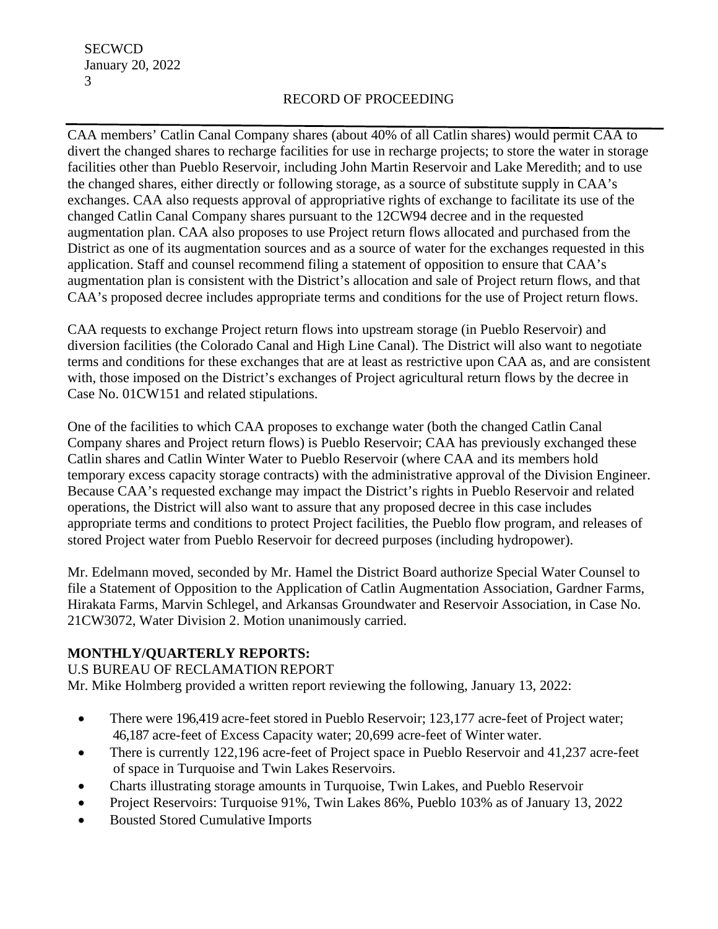**SECWCD** January 20, 2022 3

## RECORD OF PROCEEDING

CAA members' Catlin Canal Company shares (about 40% of all Catlin shares) would permit CAA to divert the changed shares to recharge facilities for use in recharge projects; to store the water in storage facilities other than Pueblo Reservoir, including John Martin Reservoir and Lake Meredith; and to use the changed shares, either directly or following storage, as a source of substitute supply in CAA's exchanges. CAA also requests approval of appropriative rights of exchange to facilitate its use of the changed Catlin Canal Company shares pursuant to the 12CW94 decree and in the requested augmentation plan. CAA also proposes to use Project return flows allocated and purchased from the District as one of its augmentation sources and as a source of water for the exchanges requested in this application. Staff and counsel recommend filing a statement of opposition to ensure that CAA's augmentation plan is consistent with the District's allocation and sale of Project return flows, and that CAA's proposed decree includes appropriate terms and conditions for the use of Project return flows.

CAA requests to exchange Project return flows into upstream storage (in Pueblo Reservoir) and diversion facilities (the Colorado Canal and High Line Canal). The District will also want to negotiate terms and conditions for these exchanges that are at least as restrictive upon CAA as, and are consistent with, those imposed on the District's exchanges of Project agricultural return flows by the decree in Case No. 01CW151 and related stipulations.

One of the facilities to which CAA proposes to exchange water (both the changed Catlin Canal Company shares and Project return flows) is Pueblo Reservoir; CAA has previously exchanged these Catlin shares and Catlin Winter Water to Pueblo Reservoir (where CAA and its members hold temporary excess capacity storage contracts) with the administrative approval of the Division Engineer. Because CAA's requested exchange may impact the District's rights in Pueblo Reservoir and related operations, the District will also want to assure that any proposed decree in this case includes appropriate terms and conditions to protect Project facilities, the Pueblo flow program, and releases of stored Project water from Pueblo Reservoir for decreed purposes (including hydropower).

Mr. Edelmann moved, seconded by Mr. Hamel the District Board authorize Special Water Counsel to file a Statement of Opposition to the Application of Catlin Augmentation Association, Gardner Farms, Hirakata Farms, Marvin Schlegel, and Arkansas Groundwater and Reservoir Association, in Case No. 21CW3072, Water Division 2. Motion unanimously carried.

## **MONTHLY/QUARTERLY REPORTS:**

U.S BUREAU OF RECLAMATION REPORT Mr. Mike Holmberg provided a written report reviewing the following, January 13, 2022:

- There were 196,419 acre-feet stored in Pueblo Reservoir; 123,177 acre-feet of Project water; 46,187 acre-feet of Excess Capacity water; 20,699 acre-feet of Winter water.
- There is currently 122,196 acre-feet of Project space in Pueblo Reservoir and 41,237 acre-feet of space in Turquoise and Twin Lakes Reservoirs.
- Charts illustrating storage amounts in Turquoise, Twin Lakes, and Pueblo Reservoir
- Project Reservoirs: Turquoise 91%, Twin Lakes 86%, Pueblo 103% as of January 13, 2022
- Bousted Stored Cumulative Imports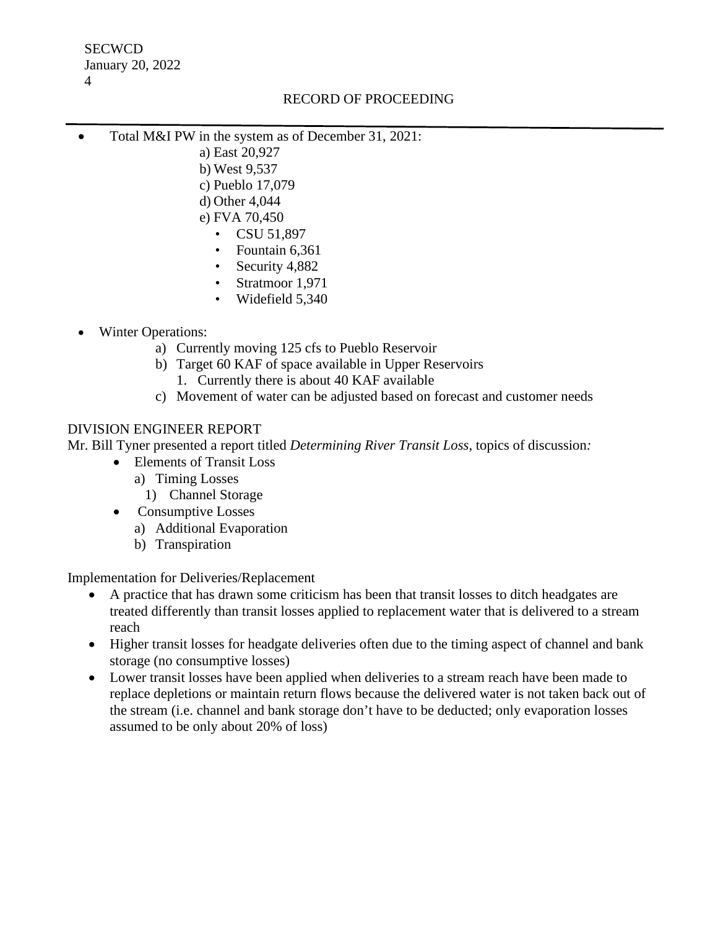**SECWCD** January 20, 2022 4

## RECORD OF PROCEEDING

- Total M&I PW in the system as of December 31, 2021:
	- a) East 20,927
		- b) West 9,537
		- c) Pueblo 17,079
		- d) Other 4,044
		- e) FVA 70,450
			- CSU 51,897
			- Fountain 6,361
			- Security 4,882
			- Stratmoor 1,971
			- Widefield 5,340
- Winter Operations:
	- a) Currently moving 125 cfs to Pueblo Reservoir
	- b) Target 60 KAF of space available in Upper Reservoirs
		- 1. Currently there is about 40 KAF available
	- c) Movement of water can be adjusted based on forecast and customer needs

## DIVISION ENGINEER REPORT

Mr. Bill Tyner presented a report titled *Determining River Transit Loss*, topics of discussion*:*

- Elements of Transit Loss
	- a) Timing Losses
		- 1) Channel Storage
- Consumptive Losses
	- a) Additional Evaporation
	- b) Transpiration

Implementation for Deliveries/Replacement

- A practice that has drawn some criticism has been that transit losses to ditch headgates are treated differently than transit losses applied to replacement water that is delivered to a stream reach
- Higher transit losses for headgate deliveries often due to the timing aspect of channel and bank storage (no consumptive losses)
- Lower transit losses have been applied when deliveries to a stream reach have been made to replace depletions or maintain return flows because the delivered water is not taken back out of the stream (i.e. channel and bank storage don't have to be deducted; only evaporation losses assumed to be only about 20% of loss)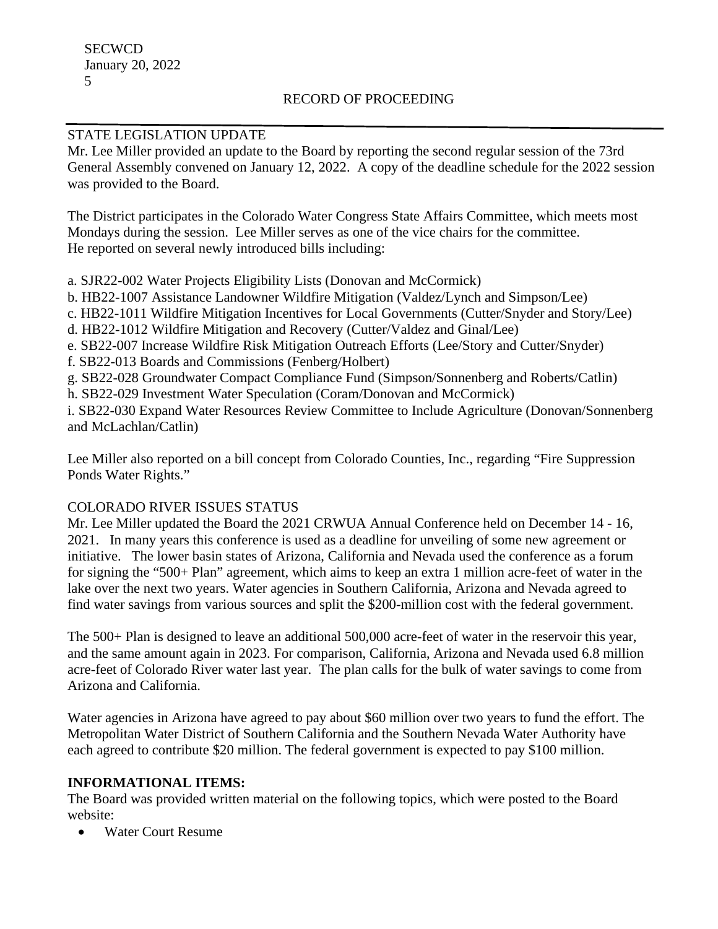# RECORD OF PROCEEDING

## STATE LEGISLATION UPDATE

Mr. Lee Miller provided an update to the Board by reporting the second regular session of the 73rd General Assembly convened on January 12, 2022. A copy of the deadline schedule for the 2022 session was provided to the Board.

The District participates in the Colorado Water Congress State Affairs Committee, which meets most Mondays during the session. Lee Miller serves as one of the vice chairs for the committee. He reported on several newly introduced bills including:

a. SJR22-002 Water Projects Eligibility Lists (Donovan and McCormick)

b. HB22-1007 Assistance Landowner Wildfire Mitigation (Valdez/Lynch and Simpson/Lee)

c. HB22-1011 Wildfire Mitigation Incentives for Local Governments (Cutter/Snyder and Story/Lee)

d. HB22-1012 Wildfire Mitigation and Recovery (Cutter/Valdez and Ginal/Lee)

e. SB22-007 Increase Wildfire Risk Mitigation Outreach Efforts (Lee/Story and Cutter/Snyder)

f. SB22-013 Boards and Commissions (Fenberg/Holbert)

g. SB22-028 Groundwater Compact Compliance Fund (Simpson/Sonnenberg and Roberts/Catlin)

h. SB22-029 Investment Water Speculation (Coram/Donovan and McCormick)

i. SB22-030 Expand Water Resources Review Committee to Include Agriculture (Donovan/Sonnenberg and McLachlan/Catlin)

Lee Miller also reported on a bill concept from Colorado Counties, Inc., regarding "Fire Suppression Ponds Water Rights."

## COLORADO RIVER ISSUES STATUS

Mr. Lee Miller updated the Board the 2021 CRWUA Annual Conference held on December 14 - 16, 2021. In many years this conference is used as a deadline for unveiling of some new agreement or initiative. The lower basin states of Arizona, California and Nevada used the conference as a forum for signing the "500+ Plan" agreement, which aims to keep an extra 1 million acre-feet of water in the lake over the next two years. Water agencies in Southern California, Arizona and Nevada agreed to find water savings from various sources and split the \$200-million cost with the federal government.

The 500+ Plan is designed to leave an additional 500,000 acre-feet of water in the reservoir this year, and the same amount again in 2023. For comparison, California, Arizona and Nevada used 6.8 million acre-feet of Colorado River water last year. The plan calls for the bulk of water savings to come from Arizona and California.

Water agencies in Arizona have agreed to pay about \$60 million over two years to fund the effort. The Metropolitan Water District of Southern California and the Southern Nevada Water Authority have each agreed to contribute \$20 million. The federal government is expected to pay \$100 million.

## **INFORMATIONAL ITEMS:**

The Board was provided written material on the following topics, which were posted to the Board website:

• Water Court Resume